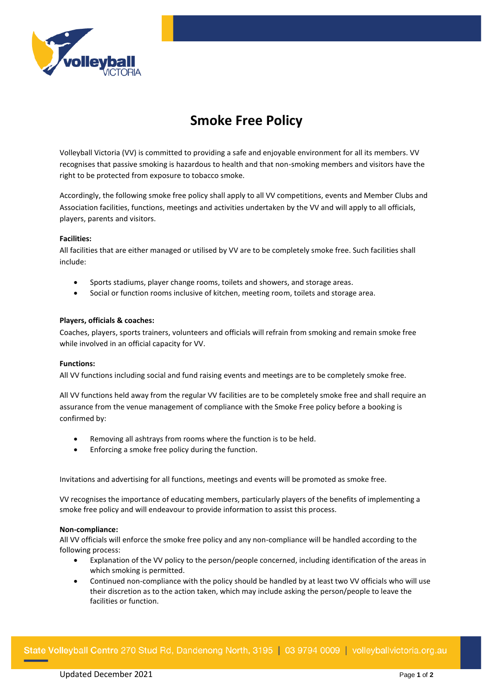

# **Smoke Free Policy**

Volleyball Victoria (VV) is committed to providing a safe and enjoyable environment for all its members. VV recognises that passive smoking is hazardous to health and that non-smoking members and visitors have the right to be protected from exposure to tobacco smoke.

Accordingly, the following smoke free policy shall apply to all VV competitions, events and Member Clubs and Association facilities, functions, meetings and activities undertaken by the VV and will apply to all officials, players, parents and visitors.

## **Facilities:**

All facilities that are either managed or utilised by VV are to be completely smoke free. Such facilities shall include:

- Sports stadiums, player change rooms, toilets and showers, and storage areas.
- Social or function rooms inclusive of kitchen, meeting room, toilets and storage area.

#### **Players, officials & coaches:**

Coaches, players, sports trainers, volunteers and officials will refrain from smoking and remain smoke free while involved in an official capacity for VV.

#### **Functions:**

All VV functions including social and fund raising events and meetings are to be completely smoke free.

All VV functions held away from the regular VV facilities are to be completely smoke free and shall require an assurance from the venue management of compliance with the Smoke Free policy before a booking is confirmed by:

- Removing all ashtrays from rooms where the function is to be held.
- Enforcing a smoke free policy during the function.

Invitations and advertising for all functions, meetings and events will be promoted as smoke free.

VV recognises the importance of educating members, particularly players of the benefits of implementing a smoke free policy and will endeavour to provide information to assist this process.

#### **Non-compliance:**

All VV officials will enforce the smoke free policy and any non-compliance will be handled according to the following process:

- Explanation of the VV policy to the person/people concerned, including identification of the areas in which smoking is permitted.
- Continued non-compliance with the policy should be handled by at least two VV officials who will use their discretion as to the action taken, which may include asking the person/people to leave the facilities or function.

State Volleyball Centre 270 Stud Rd, Dandenong North, 3195 | 03 9794 0009 | volleyballvictoria.org.au